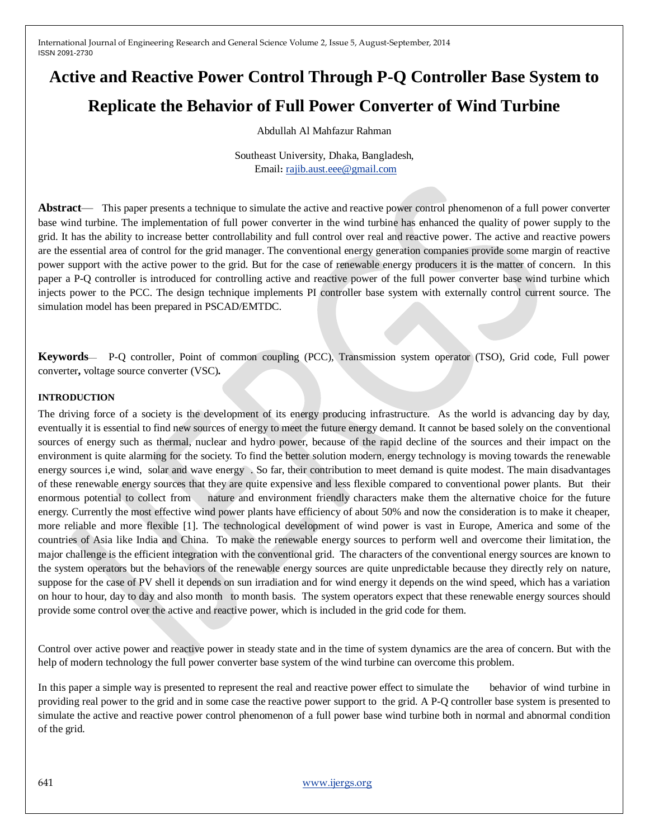# **Active and Reactive Power Control Through P-Q Controller Base System to Replicate the Behavior of Full Power Converter of Wind Turbine**

Abdullah Al Mahfazur Rahman

Southeast University, Dhaka, Bangladesh, Email: [rajib.aust.eee@gmail.com](mailto:rajib.aust.eee@gmail.com)

**Abstract**— This paper presents a technique to simulate the active and reactive power control phenomenon of a full power converter base wind turbine. The implementation of full power converter in the wind turbine has enhanced the quality of power supply to the grid. It has the ability to increase better controllability and full control over real and reactive power. The active and reactive powers are the essential area of control for the grid manager. The conventional energy generation companies provide some margin of reactive power support with the active power to the grid. But for the case of renewable energy producers it is the matter of concern. In this paper a P-Q controller is introduced for controlling active and reactive power of the full power converter base wind turbine which injects power to the PCC. The design technique implements PI controller base system with externally control current source. The simulation model has been prepared in PSCAD/EMTDC.

**Keywords**— P-Q controller, Point of common coupling (PCC), Transmission system operator (TSO), Grid code, Full power converter**,** voltage source converter (VSC)**.**

#### **INTRODUCTION**

The driving force of a society is the development of its energy producing infrastructure. As the world is advancing day by day, eventually it is essential to find new sources of energy to meet the future energy demand. It cannot be based solely on the conventional sources of energy such as thermal, nuclear and hydro power, because of the rapid decline of the sources and their impact on the environment is quite alarming for the society. To find the better solution modern, energy technology is moving towards the renewable energy sources i,e wind, solar and wave energy . So far, their contribution to meet demand is quite modest. The main disadvantages of these renewable energy sources that they are quite expensive and less flexible compared to conventional power plants. But their enormous potential to collect from nature and environment friendly characters make them the alternative choice for the future energy. Currently the most effective wind power plants have efficiency of about 50% and now the consideration is to make it cheaper, more reliable and more flexible [1]. The technological development of wind power is vast in Europe, America and some of the countries of Asia like India and China. To make the renewable energy sources to perform well and overcome their limitation, the major challenge is the efficient integration with the conventional grid. The characters of the conventional energy sources are known to the system operators but the behaviors of the renewable energy sources are quite unpredictable because they directly rely on nature, suppose for the case of PV shell it depends on sun irradiation and for wind energy it depends on the wind speed, which has a variation on hour to hour, day to day and also month to month basis. The system operators expect that these renewable energy sources should provide some control over the active and reactive power, which is included in the grid code for them.

Control over active power and reactive power in steady state and in the time of system dynamics are the area of concern. But with the help of modern technology the full power converter base system of the wind turbine can overcome this problem.

In this paper a simple way is presented to represent the real and reactive power effect to simulate the behavior of wind turbine in providing real power to the grid and in some case the reactive power support to the grid. A P-Q controller base system is presented to simulate the active and reactive power control phenomenon of a full power base wind turbine both in normal and abnormal condition of the grid.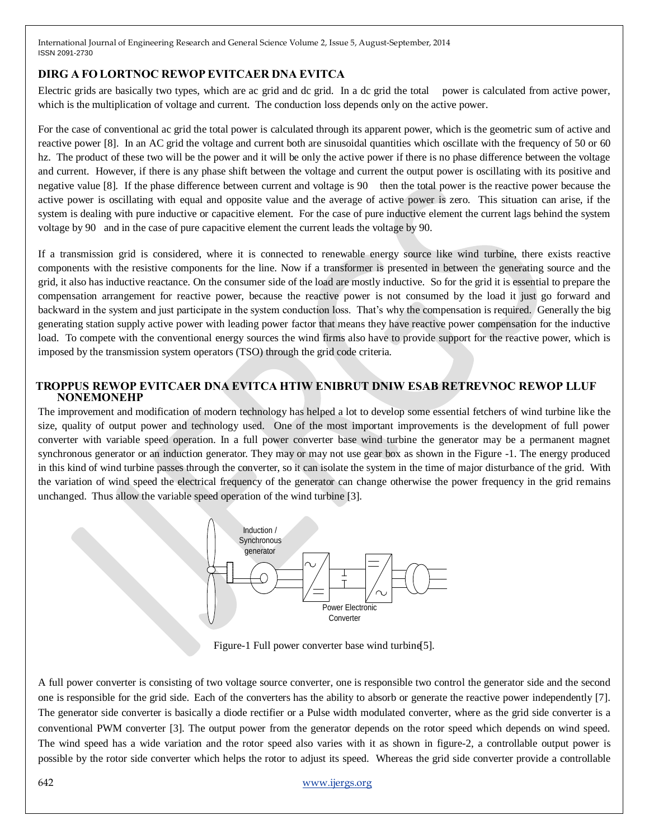### **DIRG A FO LORTNOC REWOP EVITCAER DNA EVITCA**

Electric grids are basically two types, which are ac grid and dc grid. In a dc grid the total power is calculated from active power, which is the multiplication of voltage and current. The conduction loss depends only on the active power.

For the case of conventional ac grid the total power is calculated through its apparent power, which is the geometric sum of active and reactive power [8]. In an AC grid the voltage and current both are sinusoidal quantities which oscillate with the frequency of 50 or 60 hz. The product of these two will be the power and it will be only the active power if there is no phase difference between the voltage and current. However, if there is any phase shift between the voltage and current the output power is oscillating with its positive and negative value [8]. If the phase difference between current and voltage is 90 then the total power is the reactive power because the active power is oscillating with equal and opposite value and the average of active power is zero. This situation can arise, if the system is dealing with pure inductive or capacitive element. For the case of pure inductive element the current lags behind the system voltage by 90 and in the case of pure capacitive element the current leads the voltage by 90.

If a transmission grid is considered, where it is connected to renewable energy source like wind turbine, there exists reactive components with the resistive components for the line. Now if a transformer is presented in between the generating source and the grid, it also has inductive reactance. On the consumer side of the load are mostly inductive. So for the grid it is essential to prepare the compensation arrangement for reactive power, because the reactive power is not consumed by the load it just go forward and backward in the system and just participate in the system conduction loss. That's why the compensation is required. Generally the big generating station supply active power with leading power factor that means they have reactive power compensation for the inductive load. To compete with the conventional energy sources the wind firms also have to provide support for the reactive power, which is imposed by the transmission system operators (TSO) through the grid code criteria.

#### **TROPPUS REWOP EVITCAER DNA EVITCA HTIW ENIBRUT DNIW ESAB RETREVNOC REWOP LLUF NONEMONEHP**

The improvement and modification of modern technology has helped a lot to develop some essential fetchers of wind turbine like the size, quality of output power and technology used. One of the most important improvements is the development of full power converter with variable speed operation. In a full power converter base wind turbine the generator may be a permanent magnet synchronous generator or an induction generator. They may or may not use gear box as shown in the Figure -1. The energy produced in this kind of wind turbine passes through the converter, so it can isolate the system in the time of major disturbance of the grid. With the variation of wind speed the electrical frequency of the generator can change otherwise the power frequency in the grid remains unchanged. Thus allow the variable speed operation of the wind turbine [3].



Figure-1 Full power converter base wind turbine[5].

A full power converter is consisting of two voltage source converter, one is responsible two control the generator side and the second one is responsible for the grid side. Each of the converters has the ability to absorb or generate the reactive power independently [7]. The generator side converter is basically a diode rectifier or a Pulse width modulated converter, where as the grid side converter is a conventional PWM converter [3]. The output power from the generator depends on the rotor speed which depends on wind speed. The wind speed has a wide variation and the rotor speed also varies with it as shown in figure-2, a controllable output power is possible by the rotor side converter which helps the rotor to adjust its speed. Whereas the grid side converter provide a controllable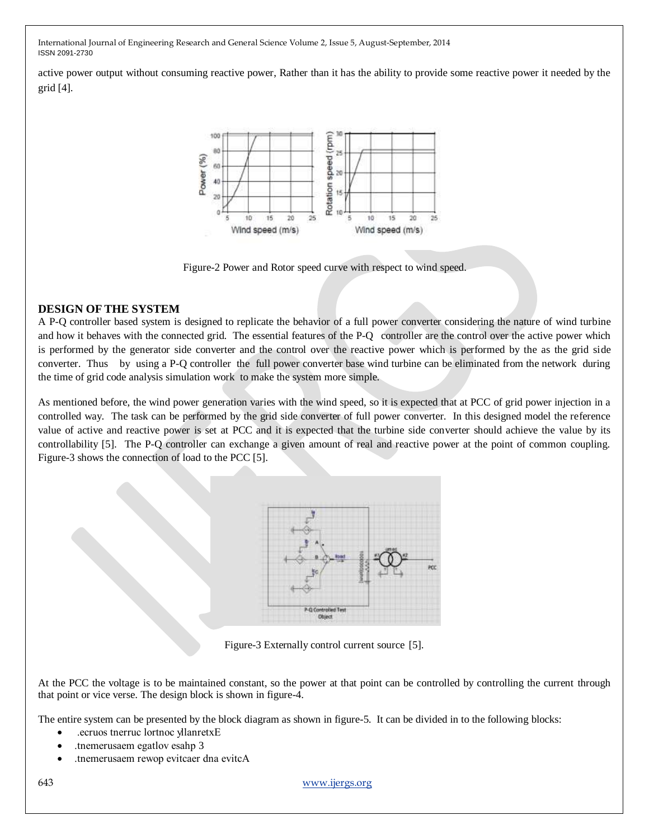active power output without consuming reactive power, Rather than it has the ability to provide some reactive power it needed by the grid [4].



Figure-2 Power and Rotor speed curve with respect to wind speed.

#### **DESIGN OF THE SYSTEM**

A P-Q controller based system is designed to replicate the behavior of a full power converter considering the nature of wind turbine and how it behaves with the connected grid. The essential features of the P-Q controller are the control over the active power which is performed by the generator side converter and the control over the reactive power which is performed by the as the grid side converter. Thus by using a P-Q controller the full power converter base wind turbine can be eliminated from the network during the time of grid code analysis simulation work to make the system more simple.

As mentioned before, the wind power generation varies with the wind speed, so it is expected that at PCC of grid power injection in a controlled way. The task can be performed by the grid side converter of full power converter. In this designed model the reference value of active and reactive power is set at PCC and it is expected that the turbine side converter should achieve the value by its controllability [5]. The P-Q controller can exchange a given amount of real and reactive power at the point of common coupling. Figure-3 shows the connection of load to the PCC [5].



Figure-3 Externally control current source [5].

At the PCC the voltage is to be maintained constant, so the power at that point can be controlled by controlling the current through that point or vice verse. The design block is shown in figure-4.

The entire system can be presented by the block diagram as shown in figure-5. It can be divided in to the following blocks:

- .ecruos tnerruc lortnoc yllanretxE
- .tnemerusaem egatlov esahp 3
- .tnemerusaem rewop evitcaer dna evitcA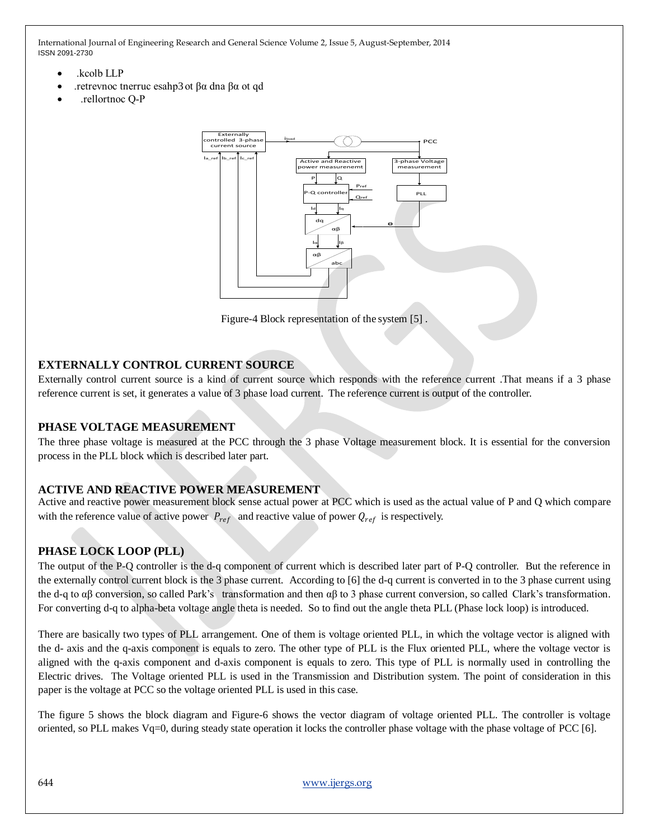- .kcolb LLP
- .retrevnoc tnerruc esahp3 ot βα dna βα ot qd
- .rellortnoc Q-P



Figure-4 Block representation of the system [5] .

## **EXTERNALLY CONTROL CURRENT SOURCE**

Externally control current source is a kind of current source which responds with the reference current .That means if a 3 phase reference current is set, it generates a value of 3 phase load current. The reference current is output of the controller.

#### **PHASE VOLTAGE MEASUREMENT**

The three phase voltage is measured at the PCC through the 3 phase Voltage measurement block. It is essential for the conversion process in the PLL block which is described later part.

## **ACTIVE AND REACTIVE POWER MEASUREMENT**

Active and reactive power measurement block sense actual power at PCC which is used as the actual value of P and Q which compare with the reference value of active power  $P_{ref}$  and reactive value of power  $Q_{ref}$  is respectively.

## **PHASE LOCK LOOP (PLL)**

The output of the P-Q controller is the d-q component of current which is described later part of P-Q controller. But the reference in the externally control current block is the 3 phase current. According to [6] the d-q current is converted in to the 3 phase current using the d-q to  $\alpha\beta$  conversion, so called Park's transformation and then  $\alpha\beta$  to 3 phase current conversion, so called Clark's transformation. For converting d-q to alpha-beta voltage angle theta is needed. So to find out the angle theta PLL (Phase lock loop) is introduced.

There are basically two types of PLL arrangement. One of them is voltage oriented PLL, in which the voltage vector is aligned with the d- axis and the q-axis component is equals to zero. The other type of PLL is the Flux oriented PLL, where the voltage vector is aligned with the q-axis component and d-axis component is equals to zero. This type of PLL is normally used in controlling the Electric drives. The Voltage oriented PLL is used in the Transmission and Distribution system. The point of consideration in this paper is the voltage at PCC so the voltage oriented PLL is used in this case.

The figure 5 shows the block diagram and Figure-6 shows the vector diagram of voltage oriented PLL. The controller is voltage oriented, so PLL makes Vq=0, during steady state operation it locks the controller phase voltage with the phase voltage of PCC [6].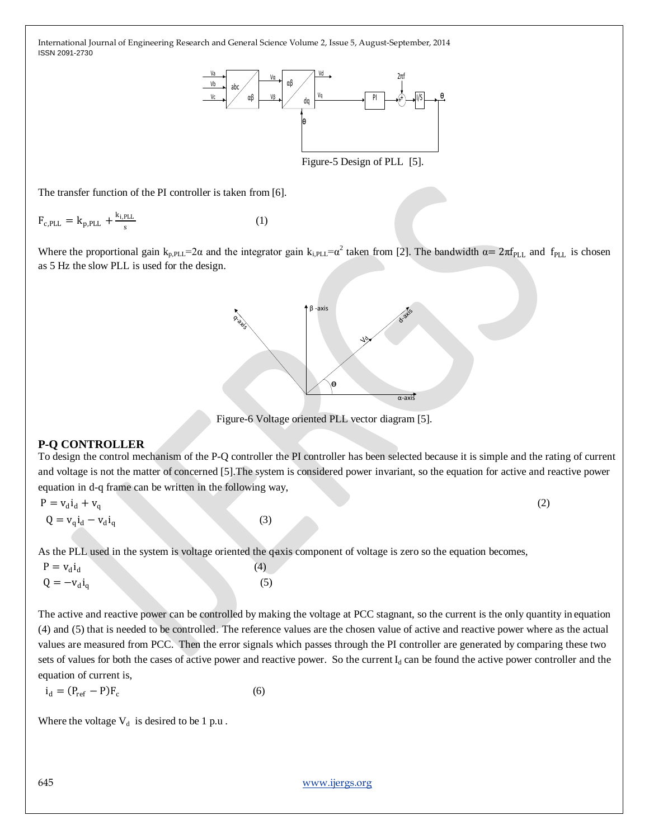

Figure-5 Design of PLL [5].

The transfer function of the PI controller is taken from [6].

$$
F_{c,PLL} = k_{p,PLL} + \frac{k_{i,PLL}}{s}
$$
 (1)

Where the proportional gain  $k_{p,PLL} = 2\alpha$  and the integrator gain  $k_{i,PLL} = \alpha^2$  taken from [2]. The bandwidth  $\alpha = 2\pi f_{PLL}$  and  $f_{PLL}$  is chosen as 5 Hz the slow PLL is used for the design.



Figure-6 Voltage oriented PLL vector diagram [5].

#### **P-Q CONTROLLER**

To design the control mechanism of the P-Q controller the PI controller has been selected because it is simple and the rating of current and voltage is not the matter of concerned [5].The system is considered power invariant, so the equation for active and reactive power equation in d-q frame can be written in the following way,

$$
P = v_d i_d + v_q
$$
  
\n
$$
Q = v_q i_d - v_d i_q
$$
\n(2)

As the PLL used in the system is voltage oriented the qaxis component of voltage is zero so the equation becomes,

| $P = v_d i_d$  |  | (4) |
|----------------|--|-----|
| $Q = -v_d i_q$ |  | (5) |

**Example 12** with the PI controller is taken from [6].<br>
Figure 5 Design of PI1. [5].<br>
The transfer function of the PI controller is taken from [6].<br>
Figure 5 Design of PI1. [5].<br>
The two spectrum again  $k_{p,R} = 2a$  and the The active and reactive power can be controlled by making the voltage at PCC stagnant, so the current is the only quantity in equation (4) and (5) that is needed to be controlled. The reference values are the chosen value of active and reactive power where as the actual values are measured from PCC. Then the error signals which passes through the PI controller are generated by comparing these two sets of values for both the cases of active power and reactive power. So the current  $I_d$  can be found the active power controller and the equation of current is,

$$
i_d = (P_{ref} - P)F_c
$$
 (6)

Where the voltage  $V_d$  is desired to be 1 p.u.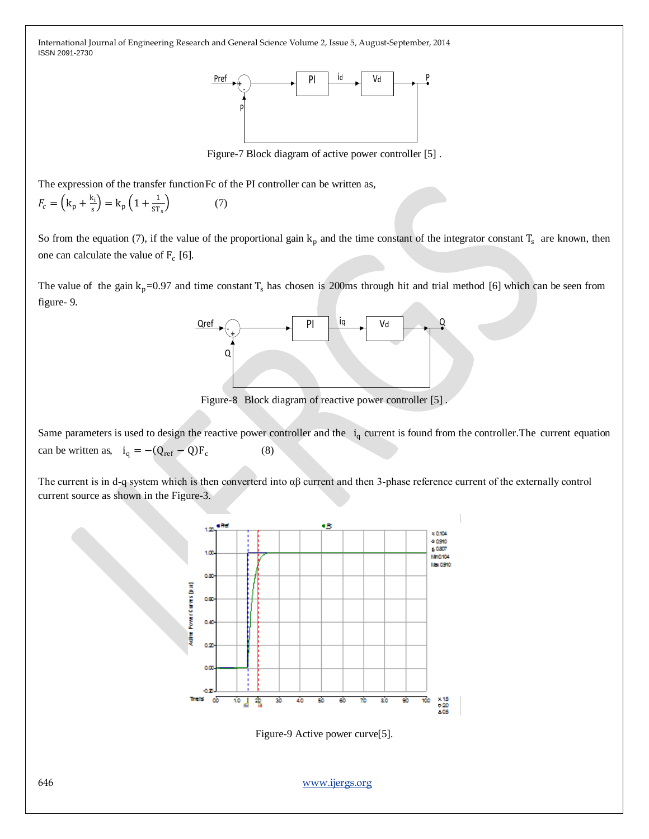

Figure-7 Block diagram of active power controller [5] .

The expression of the transfer function Fc of the PI controller can be written as,

(7)

$$
F_c = \left(\mathbf{k}_\mathbf{p} + \frac{\mathbf{k}_\mathbf{i}}{\mathbf{s}}\right) = \mathbf{k}_\mathbf{p} \left(1 + \frac{1}{\mathbf{S} \mathbf{T}_\mathbf{s}}\right)
$$

So from the equation (7), if the value of the proportional gain  $k_p$  and the time constant of the integrator constant  $T_s$  are known, then one can calculate the value of  $F_c$  [6].

The value of the gain  $k_p=0.97$  and time constant  $T_s$  has chosen is 200ms through hit and trial method [6] which can be seen from figure- 9.



Figure-8 Block diagram of reactive power controller [5] .

Same parameters is used to design the reactive power controller and the  $i_q$  current is found from the controller. The current equation can be written as,  $i_q = -(Q_{ref} - Q)F_c$  $(8)$ 

The current is in d-q system which is then converterd into αβ current and then 3-phase reference current of the externally control current source as shown in the Figure-3.



Figure-9 Active power curve[5].

646 [www.ijergs.org](http://www.ijergs.org/)